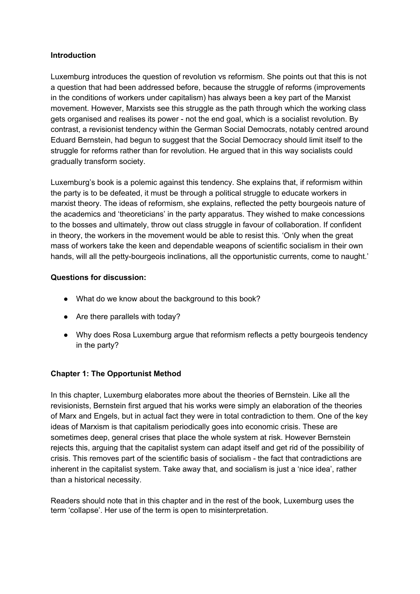#### **Introduction**

Luxemburg introduces the question of revolution vs reformism. She points out that this is not a question that had been addressed before, because the struggle of reforms (improvements in the conditions of workers under capitalism) has always been a key part of the Marxist movement. However, Marxists see this struggle as the path through which the working class gets organised and realises its power - not the end goal, which is a socialist revolution. By contrast, a revisionist tendency within the German Social Democrats, notably centred around Eduard Bernstein, had begun to suggest that the Social Democracy should limit itself to the struggle for reforms rather than for revolution. He argued that in this way socialists could gradually transform society.

Luxemburg's book is a polemic against this tendency. She explains that, if reformism within the party is to be defeated, it must be through a political struggle to educate workers in marxist theory. The ideas of reformism, she explains, reflected the petty bourgeois nature of the academics and 'theoreticians' in the party apparatus. They wished to make concessions to the bosses and ultimately, throw out class struggle in favour of collaboration. If confident in theory, the workers in the movement would be able to resist this. 'Only when the great mass of workers take the keen and dependable weapons of scientific socialism in their own hands, will all the petty-bourgeois inclinations, all the opportunistic currents, come to naught.'

## **Questions for discussion:**

- What do we know about the background to this book?
- Are there parallels with today?
- Why does Rosa Luxemburg argue that reformism reflects a petty bourgeois tendency in the party?

## **Chapter 1: The Opportunist Method**

In this chapter, Luxemburg elaborates more about the theories of Bernstein. Like all the revisionists, Bernstein first argued that his works were simply an elaboration of the theories of Marx and Engels, but in actual fact they were in total contradiction to them. One of the key ideas of Marxism is that capitalism periodically goes into economic crisis. These are sometimes deep, general crises that place the whole system at risk. However Bernstein rejects this, arguing that the capitalist system can adapt itself and get rid of the possibility of crisis. This removes part of the scientific basis of socialism - the fact that contradictions are inherent in the capitalist system. Take away that, and socialism is just a 'nice idea', rather than a historical necessity.

Readers should note that in this chapter and in the rest of the book, Luxemburg uses the term 'collapse'. Her use of the term is open to misinterpretation.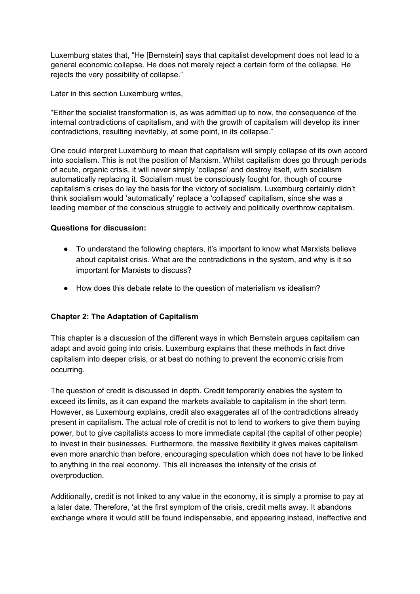Luxemburg states that, "He [Bernstein] says that capitalist development does not lead to a general economic collapse. He does not merely reject a certain form of the collapse. He rejects the very possibility of collapse."

Later in this section Luxemburg writes,

"Either the socialist transformation is, as was admitted up to now, the consequence of the internal contradictions of capitalism, and with the growth of capitalism will develop its inner contradictions, resulting inevitably, at some point, in its collapse."

One could interpret Luxemburg to mean that capitalism will simply collapse of its own accord into socialism. This is not the position of Marxism. Whilst capitalism does go through periods of acute, organic crisis, it will never simply 'collapse' and destroy itself, with socialism automatically replacing it. Socialism must be consciously fought for, though of course capitalism's crises do lay the basis for the victory of socialism. Luxemburg certainly didn't think socialism would 'automatically' replace a 'collapsed' capitalism, since she was a leading member of the conscious struggle to actively and politically overthrow capitalism.

#### **Questions for discussion:**

- To understand the following chapters, it's important to know what Marxists believe about capitalist crisis. What are the contradictions in the system, and why is it so important for Marxists to discuss?
- How does this debate relate to the question of materialism vs idealism?

## **Chapter 2: The Adaptation of Capitalism**

This chapter is a discussion of the different ways in which Bernstein argues capitalism can adapt and avoid going into crisis. Luxemburg explains that these methods in fact drive capitalism into deeper crisis, or at best do nothing to prevent the economic crisis from occurring.

The question of credit is discussed in depth. Credit temporarily enables the system to exceed its limits, as it can expand the markets available to capitalism in the short term. However, as Luxemburg explains, credit also exaggerates all of the contradictions already present in capitalism. The actual role of credit is not to lend to workers to give them buying power, but to give capitalists access to more immediate capital (the capital of other people) to invest in their businesses. Furthermore, the massive flexibility it gives makes capitalism even more anarchic than before, encouraging speculation which does not have to be linked to anything in the real economy. This all increases the intensity of the crisis of overproduction.

Additionally, credit is not linked to any value in the economy, it is simply a promise to pay at a later date. Therefore, 'at the first symptom of the crisis, credit melts away. It abandons exchange where it would still be found indispensable, and appearing instead, ineffective and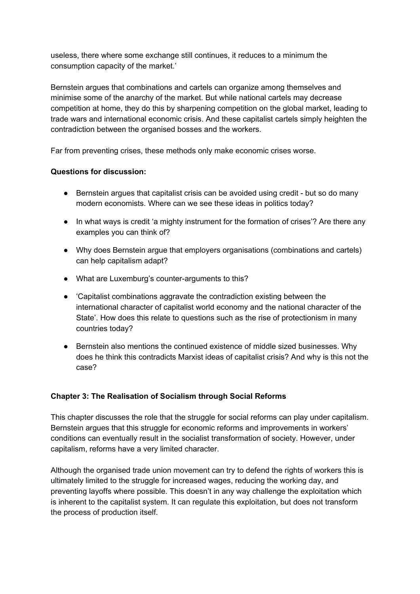useless, there where some exchange still continues, it reduces to a minimum the consumption capacity of the market.'

Bernstein argues that combinations and cartels can organize among themselves and minimise some of the anarchy of the market. But while national cartels may decrease competition at home, they do this by sharpening competition on the global market, leading to trade wars and international economic crisis. And these capitalist cartels simply heighten the contradiction between the organised bosses and the workers.

Far from preventing crises, these methods only make economic crises worse.

## **Questions for discussion:**

- Bernstein argues that capitalist crisis can be avoided using credit but so do many modern economists. Where can we see these ideas in politics today?
- In what ways is credit 'a mighty instrument for the formation of crises'? Are there any examples you can think of?
- Why does Bernstein argue that employers organisations (combinations and cartels) can help capitalism adapt?
- What are Luxemburg's counter-arguments to this?
- 'Capitalist combinations aggravate the contradiction existing between the international character of capitalist world economy and the national character of the State'. How does this relate to questions such as the rise of protectionism in many countries today?
- Bernstein also mentions the continued existence of middle sized businesses. Why does he think this contradicts Marxist ideas of capitalist crisis? And why is this not the case?

## **Chapter 3: The Realisation of Socialism through Social Reforms**

This chapter discusses the role that the struggle for social reforms can play under capitalism. Bernstein argues that this struggle for economic reforms and improvements in workers' conditions can eventually result in the socialist transformation of society. However, under capitalism, reforms have a very limited character.

Although the organised trade union movement can try to defend the rights of workers this is ultimately limited to the struggle for increased wages, reducing the working day, and preventing layoffs where possible. This doesn't in any way challenge the exploitation which is inherent to the capitalist system. It can regulate this exploitation, but does not transform the process of production itself.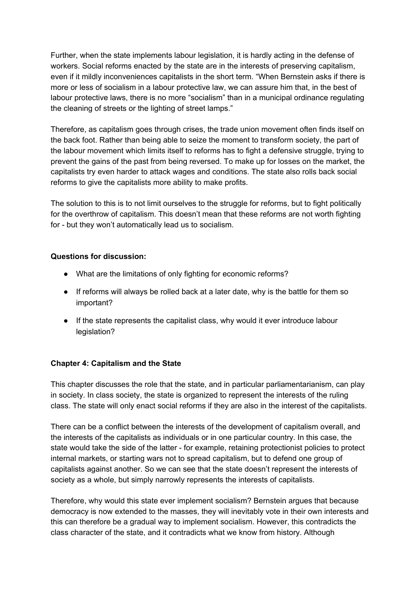Further, when the state implements labour legislation, it is hardly acting in the defense of workers. Social reforms enacted by the state are in the interests of preserving capitalism, even if it mildly inconveniences capitalists in the short term. "When Bernstein asks if there is more or less of socialism in a labour protective law, we can assure him that, in the best of labour protective laws, there is no more "socialism" than in a municipal ordinance regulating the cleaning of streets or the lighting of street lamps."

Therefore, as capitalism goes through crises, the trade union movement often finds itself on the back foot. Rather than being able to seize the moment to transform society, the part of the labour movement which limits itself to reforms has to fight a defensive struggle, trying to prevent the gains of the past from being reversed. To make up for losses on the market, the capitalists try even harder to attack wages and conditions. The state also rolls back social reforms to give the capitalists more ability to make profits.

The solution to this is to not limit ourselves to the struggle for reforms, but to fight politically for the overthrow of capitalism. This doesn't mean that these reforms are not worth fighting for - but they won't automatically lead us to socialism.

#### **Questions for discussion:**

- What are the limitations of only fighting for economic reforms?
- If reforms will always be rolled back at a later date, why is the battle for them so important?
- If the state represents the capitalist class, why would it ever introduce labour legislation?

## **Chapter 4: Capitalism and the State**

This chapter discusses the role that the state, and in particular parliamentarianism, can play in society. In class society, the state is organized to represent the interests of the ruling class. The state will only enact social reforms if they are also in the interest of the capitalists.

There can be a conflict between the interests of the development of capitalism overall, and the interests of the capitalists as individuals or in one particular country. In this case, the state would take the side of the latter - for example, retaining protectionist policies to protect internal markets, or starting wars not to spread capitalism, but to defend one group of capitalists against another. So we can see that the state doesn't represent the interests of society as a whole, but simply narrowly represents the interests of capitalists.

Therefore, why would this state ever implement socialism? Bernstein argues that because democracy is now extended to the masses, they will inevitably vote in their own interests and this can therefore be a gradual way to implement socialism. However, this contradicts the class character of the state, and it contradicts what we know from history. Although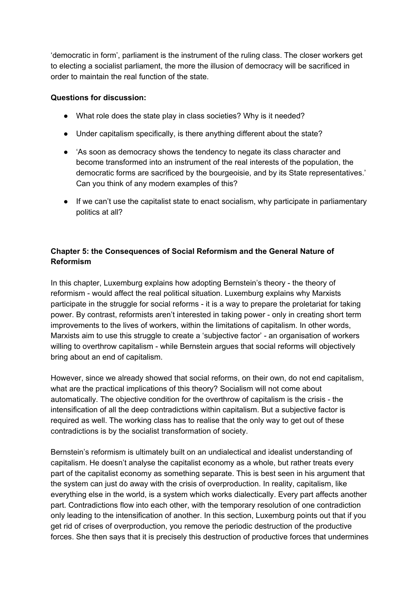'democratic in form', parliament is the instrument of the ruling class. The closer workers get to electing a socialist parliament, the more the illusion of democracy will be sacrificed in order to maintain the real function of the state.

#### **Questions for discussion:**

- What role does the state play in class societies? Why is it needed?
- Under capitalism specifically, is there anything different about the state?
- 'As soon as democracy shows the tendency to negate its class character and become transformed into an instrument of the real interests of the population, the democratic forms are sacrificed by the bourgeoisie, and by its State representatives.' Can you think of any modern examples of this?
- If we can't use the capitalist state to enact socialism, why participate in parliamentary politics at all?

# **Chapter 5: the Consequences of Social Reformism and the General Nature of Reformism**

In this chapter, Luxemburg explains how adopting Bernstein's theory - the theory of reformism - would affect the real political situation. Luxemburg explains why Marxists participate in the struggle for social reforms - it is a way to prepare the proletariat for taking power. By contrast, reformists aren't interested in taking power - only in creating short term improvements to the lives of workers, within the limitations of capitalism. In other words, Marxists aim to use this struggle to create a 'subjective factor' - an organisation of workers willing to overthrow capitalism - while Bernstein argues that social reforms will objectively bring about an end of capitalism.

However, since we already showed that social reforms, on their own, do not end capitalism, what are the practical implications of this theory? Socialism will not come about automatically. The objective condition for the overthrow of capitalism is the crisis - the intensification of all the deep contradictions within capitalism. But a subjective factor is required as well. The working class has to realise that the only way to get out of these contradictions is by the socialist transformation of society.

Bernstein's reformism is ultimately built on an undialectical and idealist understanding of capitalism. He doesn't analyse the capitalist economy as a whole, but rather treats every part of the capitalist economy as something separate. This is best seen in his argument that the system can just do away with the crisis of overproduction. In reality, capitalism, like everything else in the world, is a system which works dialectically. Every part affects another part. Contradictions flow into each other, with the temporary resolution of one contradiction only leading to the intensification of another. In this section, Luxemburg points out that if you get rid of crises of overproduction, you remove the periodic destruction of the productive forces. She then says that it is precisely this destruction of productive forces that undermines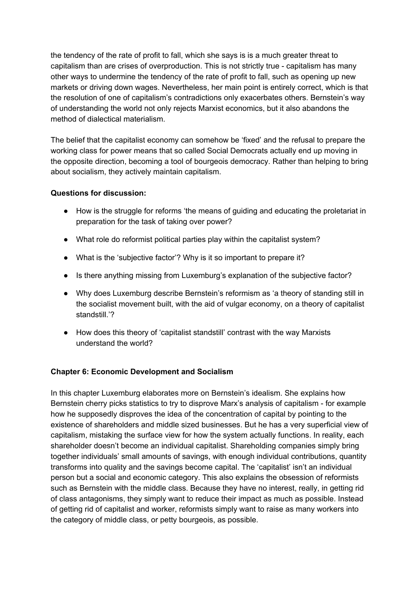the tendency of the rate of profit to fall, which she says is is a much greater threat to capitalism than are crises of overproduction. This is not strictly true - capitalism has many other ways to undermine the tendency of the rate of profit to fall, such as opening up new markets or driving down wages. Nevertheless, her main point is entirely correct, which is that the resolution of one of capitalism's contradictions only exacerbates others. Bernstein's way of understanding the world not only rejects Marxist economics, but it also abandons the method of dialectical materialism.

The belief that the capitalist economy can somehow be 'fixed' and the refusal to prepare the working class for power means that so called Social Democrats actually end up moving in the opposite direction, becoming a tool of bourgeois democracy. Rather than helping to bring about socialism, they actively maintain capitalism.

## **Questions for discussion:**

- How is the struggle for reforms 'the means of guiding and educating the proletariat in preparation for the task of taking over power?
- What role do reformist political parties play within the capitalist system?
- What is the 'subjective factor'? Why is it so important to prepare it?
- Is there anything missing from Luxemburg's explanation of the subjective factor?
- Why does Luxemburg describe Bernstein's reformism as 'a theory of standing still in the socialist movement built, with the aid of vulgar economy, on a theory of capitalist standstill.'?
- How does this theory of 'capitalist standstill' contrast with the way Marxists understand the world?

## **Chapter 6: Economic Development and Socialism**

In this chapter Luxemburg elaborates more on Bernstein's idealism. She explains how Bernstein cherry picks statistics to try to disprove Marx's analysis of capitalism - for example how he supposedly disproves the idea of the concentration of capital by pointing to the existence of shareholders and middle sized businesses. But he has a very superficial view of capitalism, mistaking the surface view for how the system actually functions. In reality, each shareholder doesn't become an individual capitalist. Shareholding companies simply bring together individuals' small amounts of savings, with enough individual contributions, quantity transforms into quality and the savings become capital. The 'capitalist' isn't an individual person but a social and economic category. This also explains the obsession of reformists such as Bernstein with the middle class. Because they have no interest, really, in getting rid of class antagonisms, they simply want to reduce their impact as much as possible. Instead of getting rid of capitalist and worker, reformists simply want to raise as many workers into the category of middle class, or petty bourgeois, as possible.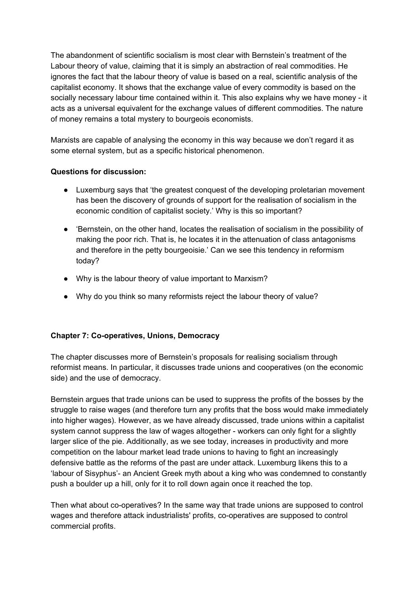The abandonment of scientific socialism is most clear with Bernstein's treatment of the Labour theory of value, claiming that it is simply an abstraction of real commodities. He ignores the fact that the labour theory of value is based on a real, scientific analysis of the capitalist economy. It shows that the exchange value of every commodity is based on the socially necessary labour time contained within it. This also explains why we have money - it acts as a universal equivalent for the exchange values of different commodities. The nature of money remains a total mystery to bourgeois economists.

Marxists are capable of analysing the economy in this way because we don't regard it as some eternal system, but as a specific historical phenomenon.

## **Questions for discussion:**

- Luxemburg says that 'the greatest conquest of the developing proletarian movement has been the discovery of grounds of support for the realisation of socialism in the economic condition of capitalist society.' Why is this so important?
- 'Bernstein, on the other hand, locates the realisation of socialism in the possibility of making the poor rich. That is, he locates it in the attenuation of class antagonisms and therefore in the petty bourgeoisie.' Can we see this tendency in reformism today?
- Why is the labour theory of value important to Marxism?
- Why do you think so many reformists reject the labour theory of value?

## **Chapter 7: Co-operatives, Unions, Democracy**

The chapter discusses more of Bernstein's proposals for realising socialism through reformist means. In particular, it discusses trade unions and cooperatives (on the economic side) and the use of democracy.

Bernstein argues that trade unions can be used to suppress the profits of the bosses by the struggle to raise wages (and therefore turn any profits that the boss would make immediately into higher wages). However, as we have already discussed, trade unions within a capitalist system cannot suppress the law of wages altogether - workers can only fight for a slightly larger slice of the pie. Additionally, as we see today, increases in productivity and more competition on the labour market lead trade unions to having to fight an increasingly defensive battle as the reforms of the past are under attack. Luxemburg likens this to a 'labour of Sisyphus'- an Ancient Greek myth about a king who was condemned to constantly push a boulder up a hill, only for it to roll down again once it reached the top.

Then what about co-operatives? In the same way that trade unions are supposed to control wages and therefore attack industrialists' profits, co-operatives are supposed to control commercial profits.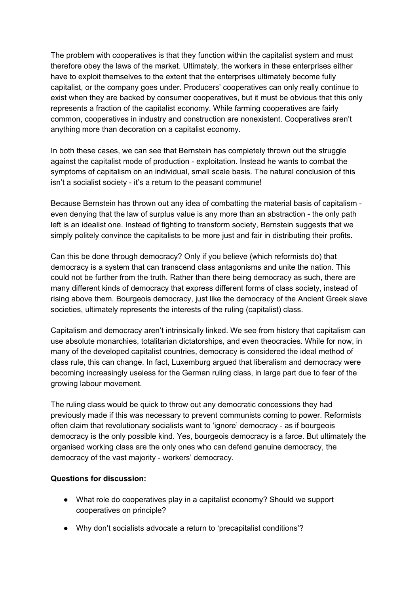The problem with cooperatives is that they function within the capitalist system and must therefore obey the laws of the market. Ultimately, the workers in these enterprises either have to exploit themselves to the extent that the enterprises ultimately become fully capitalist, or the company goes under. Producers' cooperatives can only really continue to exist when they are backed by consumer cooperatives, but it must be obvious that this only represents a fraction of the capitalist economy. While farming cooperatives are fairly common, cooperatives in industry and construction are nonexistent. Cooperatives aren't anything more than decoration on a capitalist economy.

In both these cases, we can see that Bernstein has completely thrown out the struggle against the capitalist mode of production - exploitation. Instead he wants to combat the symptoms of capitalism on an individual, small scale basis. The natural conclusion of this isn't a socialist society - it's a return to the peasant commune!

Because Bernstein has thrown out any idea of combatting the material basis of capitalism even denying that the law of surplus value is any more than an abstraction - the only path left is an idealist one. Instead of fighting to transform society, Bernstein suggests that we simply politely convince the capitalists to be more just and fair in distributing their profits.

Can this be done through democracy? Only if you believe (which reformists do) that democracy is a system that can transcend class antagonisms and unite the nation. This could not be further from the truth. Rather than there being democracy as such, there are many different kinds of democracy that express different forms of class society, instead of rising above them. Bourgeois democracy, just like the democracy of the Ancient Greek slave societies, ultimately represents the interests of the ruling (capitalist) class.

Capitalism and democracy aren't intrinsically linked. We see from history that capitalism can use absolute monarchies, totalitarian dictatorships, and even theocracies. While for now, in many of the developed capitalist countries, democracy is considered the ideal method of class rule, this can change. In fact, Luxemburg argued that liberalism and democracy were becoming increasingly useless for the German ruling class, in large part due to fear of the growing labour movement.

The ruling class would be quick to throw out any democratic concessions they had previously made if this was necessary to prevent communists coming to power. Reformists often claim that revolutionary socialists want to 'ignore' democracy - as if bourgeois democracy is the only possible kind. Yes, bourgeois democracy is a farce. But ultimately the organised working class are the only ones who can defend genuine democracy, the democracy of the vast majority - workers' democracy.

#### **Questions for discussion:**

- What role do cooperatives play in a capitalist economy? Should we support cooperatives on principle?
- Why don't socialists advocate a return to 'precapitalist conditions'?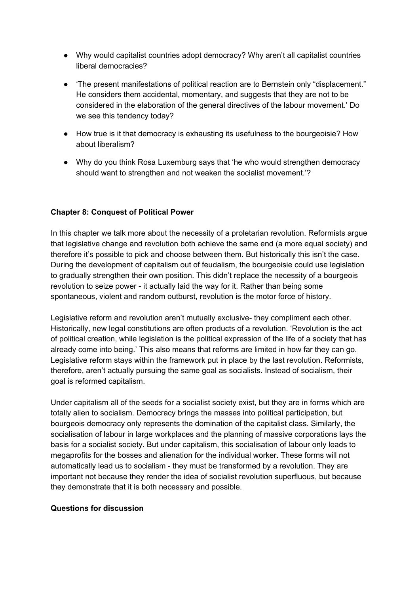- Why would capitalist countries adopt democracy? Why aren't all capitalist countries liberal democracies?
- 'The present manifestations of political reaction are to Bernstein only "displacement." He considers them accidental, momentary, and suggests that they are not to be considered in the elaboration of the general directives of the labour movement.' Do we see this tendency today?
- How true is it that democracy is exhausting its usefulness to the bourgeoisie? How about liberalism?
- Why do you think Rosa Luxemburg says that 'he who would strengthen democracy should want to strengthen and not weaken the socialist movement.'?

## **Chapter 8: Conquest of Political Power**

In this chapter we talk more about the necessity of a proletarian revolution. Reformists argue that legislative change and revolution both achieve the same end (a more equal society) and therefore it's possible to pick and choose between them. But historically this isn't the case. During the development of capitalism out of feudalism, the bourgeoisie could use legislation to gradually strengthen their own position. This didn't replace the necessity of a bourgeois revolution to seize power - it actually laid the way for it. Rather than being some spontaneous, violent and random outburst, revolution is the motor force of history.

Legislative reform and revolution aren't mutually exclusive- they compliment each other. Historically, new legal constitutions are often products of a revolution. 'Revolution is the act of political creation, while legislation is the political expression of the life of a society that has already come into being.' This also means that reforms are limited in how far they can go. Legislative reform stays within the framework put in place by the last revolution. Reformists, therefore, aren't actually pursuing the same goal as socialists. Instead of socialism, their goal is reformed capitalism.

Under capitalism all of the seeds for a socialist society exist, but they are in forms which are totally alien to socialism. Democracy brings the masses into political participation, but bourgeois democracy only represents the domination of the capitalist class. Similarly, the socialisation of labour in large workplaces and the planning of massive corporations lays the basis for a socialist society. But under capitalism, this socialisation of labour only leads to megaprofits for the bosses and alienation for the individual worker. These forms will not automatically lead us to socialism - they must be transformed by a revolution. They are important not because they render the idea of socialist revolution superfluous, but because they demonstrate that it is both necessary and possible.

#### **Questions for discussion**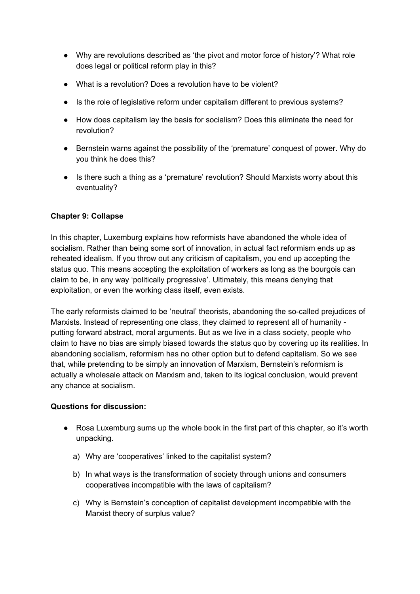- Why are revolutions described as 'the pivot and motor force of history'? What role does legal or political reform play in this?
- What is a revolution? Does a revolution have to be violent?
- Is the role of legislative reform under capitalism different to previous systems?
- How does capitalism lay the basis for socialism? Does this eliminate the need for revolution?
- Bernstein warns against the possibility of the 'premature' conquest of power. Why do you think he does this?
- Is there such a thing as a 'premature' revolution? Should Marxists worry about this eventuality?

## **Chapter 9: Collapse**

In this chapter, Luxemburg explains how reformists have abandoned the whole idea of socialism. Rather than being some sort of innovation, in actual fact reformism ends up as reheated idealism. If you throw out any criticism of capitalism, you end up accepting the status quo. This means accepting the exploitation of workers as long as the bourgois can claim to be, in any way 'politically progressive'. Ultimately, this means denying that exploitation, or even the working class itself, even exists.

The early reformists claimed to be 'neutral' theorists, abandoning the so-called prejudices of Marxists. Instead of representing one class, they claimed to represent all of humanity putting forward abstract, moral arguments. But as we live in a class society, people who claim to have no bias are simply biased towards the status quo by covering up its realities. In abandoning socialism, reformism has no other option but to defend capitalism. So we see that, while pretending to be simply an innovation of Marxism, Bernstein's reformism is actually a wholesale attack on Marxism and, taken to its logical conclusion, would prevent any chance at socialism.

## **Questions for discussion:**

- Rosa Luxemburg sums up the whole book in the first part of this chapter, so it's worth unpacking.
	- a) Why are 'cooperatives' linked to the capitalist system?
	- b) In what ways is the transformation of society through unions and consumers cooperatives incompatible with the laws of capitalism?
	- c) Why is Bernstein's conception of capitalist development incompatible with the Marxist theory of surplus value?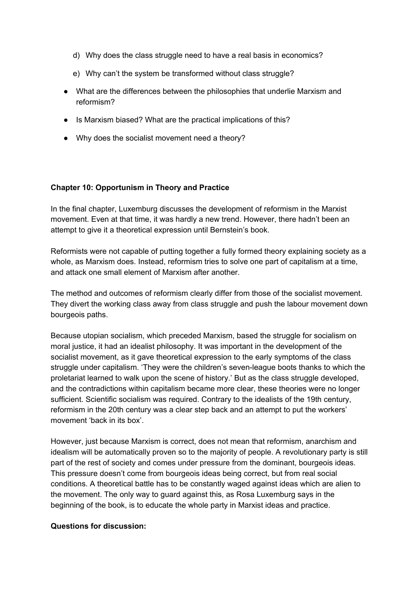- d) Why does the class struggle need to have a real basis in economics?
- e) Why can't the system be transformed without class struggle?
- What are the differences between the philosophies that underlie Marxism and reformism?
- Is Marxism biased? What are the practical implications of this?
- Why does the socialist movement need a theory?

#### **Chapter 10: Opportunism in Theory and Practice**

In the final chapter, Luxemburg discusses the development of reformism in the Marxist movement. Even at that time, it was hardly a new trend. However, there hadn't been an attempt to give it a theoretical expression until Bernstein's book.

Reformists were not capable of putting together a fully formed theory explaining society as a whole, as Marxism does. Instead, reformism tries to solve one part of capitalism at a time, and attack one small element of Marxism after another.

The method and outcomes of reformism clearly differ from those of the socialist movement. They divert the working class away from class struggle and push the labour movement down bourgeois paths.

Because utopian socialism, which preceded Marxism, based the struggle for socialism on moral justice, it had an idealist philosophy. It was important in the development of the socialist movement, as it gave theoretical expression to the early symptoms of the class struggle under capitalism. 'They were the children's seven-league boots thanks to which the proletariat learned to walk upon the scene of history.' But as the class struggle developed, and the contradictions within capitalism became more clear, these theories were no longer sufficient. Scientific socialism was required. Contrary to the idealists of the 19th century, reformism in the 20th century was a clear step back and an attempt to put the workers' movement 'back in its box'.

However, just because Marxism is correct, does not mean that reformism, anarchism and idealism will be automatically proven so to the majority of people. A revolutionary party is still part of the rest of society and comes under pressure from the dominant, bourgeois ideas. This pressure doesn't come from bourgeois ideas being correct, but from real social conditions. A theoretical battle has to be constantly waged against ideas which are alien to the movement. The only way to guard against this, as Rosa Luxemburg says in the beginning of the book, is to educate the whole party in Marxist ideas and practice.

#### **Questions for discussion:**